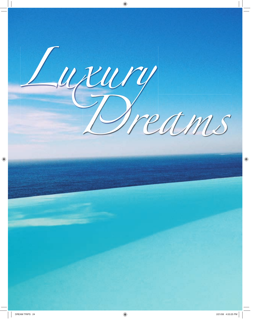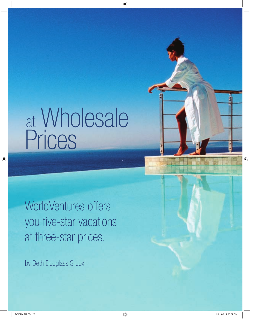# at Wholesale Prices at

WorldVentures offers you five-star vacations at three-star prices.

by Beth Douglass Silcox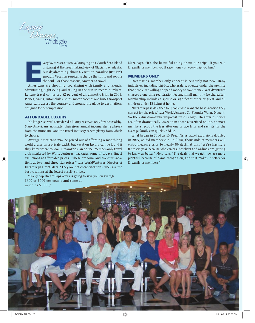

**E**<br>E**E**<br>American veryday stresses dissolve lounging on a South Seas island or gazing at the breathtaking view of Glacier Bay, Alaska. But daydreaming about a vacation paradise just isn't enough. Vacation respites recharge the spirit and soothe the soul. For those reasons, Americans travel.

Americans are shopping, socializing with family and friends, adventuring, sightseeing and taking in the sun in record numbers. Leisure travel comprised 82 percent of all domestic trips in 2003. Planes, trains, automobiles, ships, motor coaches and buses transport Americans across the country and around the globe to destinations designed for decompression.

### **AFFORDABLE LUXURY**

No longer is travel considered a luxury reserved only for the wealthy. Many Americans, no matter their gross annual income, desire a break from the mundane, and the travel industry serves plenty from which to choose.

Average Americans may be priced out of affording a monthlong world cruise on a private yacht, but vacation luxury can be found if they know where to look. DreamTrips, an online, member-only travel club marketed by WorldVentures, packages some of today's finest excursions at affordable prices. "These are four- and five-star vacations at two- and three-star prices," says WorldVentures Director of DreamTrips Grant Merz. "They are not cheap vacations. They are the best vacations at the lowest possible prices.

"Every trip DreamTrips offers is going to save you on average

Merz says. "It's the beautiful thing about our trips. If you're a DreamTrips member, you'll save money on every trip you buy."

## **MEMBERS ONLY**

DreamTrips' member-only concept is certainly not new. Many industries, including big-box wholesalers, operate under the premise that people are willing to spend money to save money. WorldVentures charges a one-time registration fee and small monthly fee thereafter. Membership includes a spouse or significant other or guest and all children under 18 living at home.

"DreamTrips is designed for people who want the best vacation they can get for the price," says WorldVentures Co-Founder Wayne Nugent. So the value-to-membership-cost ratio is high. DreamTrips prices are often dramatically lower than those advertised online, so most members recoup the fees after one or two trips and savings for the average family can quickly add up.

What began in 2006 as 15 DreamTrips travel excursions doubled in 2007, as did membership. In 2008, thousands of members will enjoy pleasure trips to nearly 80 destinations. "We're having a fantastic year because wholesalers, hoteliers and airlines are getting to know us better," Merz says. "The deals that we get now are more plentiful because of name recognition, and that makes it better for DreamTrips members."